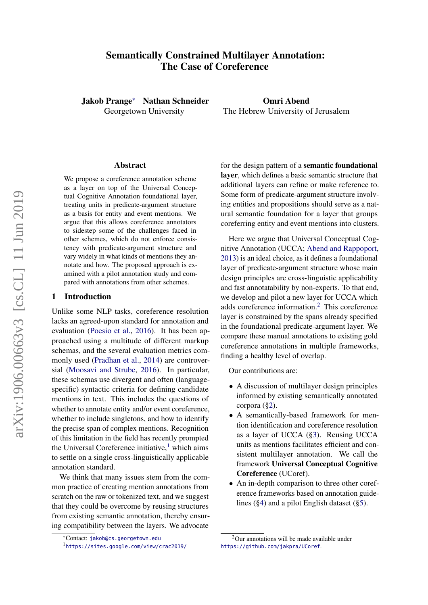# <span id="page-0-1"></span>Semantically Constrained Multilayer Annotation: The Case of Coreference

Jakob Prange<sup>∗</sup> Nathan Schneider Georgetown University

Omri Abend The Hebrew University of Jerusalem

#### Abstract

We propose a coreference annotation scheme as a layer on top of the Universal Conceptual Cognitive Annotation foundational layer, treating units in predicate-argument structure as a basis for entity and event mentions. We argue that this allows coreference annotators to sidestep some of the challenges faced in other schemes, which do not enforce consistency with predicate-argument structure and vary widely in what kinds of mentions they annotate and how. The proposed approach is examined with a pilot annotation study and compared with annotations from other schemes.

### 1 Introduction

Unlike some NLP tasks, coreference resolution lacks an agreed-upon standard for annotation and evaluation [\(Poesio et al.,](#page-9-0) [2016\)](#page-9-0). It has been approached using a multitude of different markup schemas, and the several evaluation metrics commonly used [\(Pradhan et al.,](#page-9-1) [2014\)](#page-9-1) are controversial [\(Moosavi and Strube,](#page-9-2) [2016\)](#page-9-2). In particular, these schemas use divergent and often (languagespecific) syntactic criteria for defining candidate mentions in text. This includes the questions of whether to annotate entity and/or event coreference, whether to include singletons, and how to identify the precise span of complex mentions. Recognition of this limitation in the field has recently prompted the Universal Coreference initiative, $\frac{1}{1}$  which aims to settle on a single cross-linguistically applicable annotation standard.

We think that many issues stem from the common practice of creating mention annotations from scratch on the raw or tokenized text, and we suggest that they could be overcome by reusing structures from existing semantic annotation, thereby ensuring compatibility between the layers. We advocate

for the design pattern of a semantic foundational layer, which defines a basic semantic structure that additional layers can refine or make reference to. Some form of predicate-argument structure involving entities and propositions should serve as a natural semantic foundation for a layer that groups coreferring entity and event mentions into clusters.

Here we argue that Universal Conceptual Cognitive Annotation (UCCA; [Abend and Rappoport,](#page-8-0) [2013\)](#page-8-0) is an ideal choice, as it defines a foundational layer of predicate-argument structure whose main design principles are cross-linguistic applicability and fast annotatability by non-experts. To that end, we develop and pilot a new layer for UCCA which adds coreference information.<sup>2</sup> This coreference layer is constrained by the spans already specified in the foundational predicate-argument layer. We compare these manual annotations to existing gold coreference annotations in multiple frameworks, finding a healthy level of overlap.

Our contributions are:

- A discussion of multilayer design principles informed by existing semantically annotated corpora ([§2\)](#page-0-0).
- A semantically-based framework for mention identification and coreference resolution as a layer of UCCA ([§3\)](#page-3-0). Reusing UCCA units as mentions facilitates efficient and consistent multilayer annotation. We call the framework Universal Conceptual Cognitive Coreference (UCoref).
- An in-depth comparison to three other coreference frameworks based on annotation guidelines ([§4\)](#page-4-0) and a pilot English dataset ([§5\)](#page-5-0).

<sup>∗</sup>Contact: <jakob@cs.georgetown.edu>

<sup>1</sup> <https://sites.google.com/view/crac2019/>

<span id="page-0-0"></span> $2$ Our annotations will be made available under <https://github.com/jakpra/UCoref>.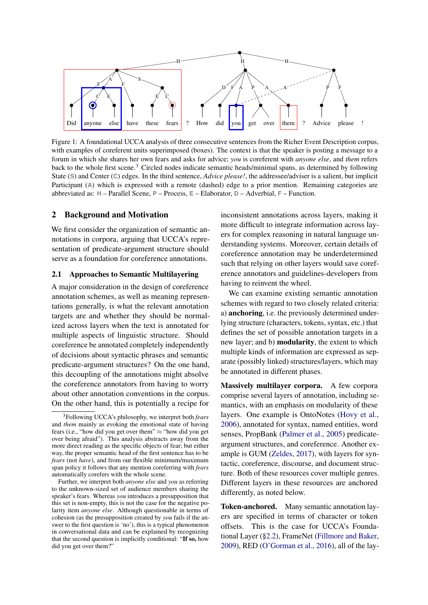<span id="page-1-0"></span>

Figure 1: A foundational UCCA analysis of three consecutive sentences from the Richer Event Description corpus, with examples of coreferent units superimposed (boxes). The context is that the speaker is posting a message to a forum in which she shares her own fears and asks for advice; *you* is coreferent with *anyone else*, and *them* refers back to the whole first scene.<sup>[3](#page-0-1)</sup> Circled nodes indicate semantic heads/minimal spans, as determined by following State (**S**) and Center (**C**) edges. In the third sentence, *Advice please!*, the addressee/adviser is a salient, but implicit Participant (A) which is expressed with a remote (dashed) edge to a prior mention. Remaining categories are abbreviated as: **H** – Parallel Scene, **P** – Process, **E** – Elaborator, **D** – Adverbial, **F** – Function.

#### 2 Background and Motivation

We first consider the organization of semantic annotations in corpora, arguing that UCCA's representation of predicate-argument structure should serve as a foundation for coreference annotations.

#### <span id="page-1-1"></span>2.1 Approaches to Semantic Multilayering

A major consideration in the design of coreference annotation schemes, as well as meaning representations generally, is what the relevant annotation targets are and whether they should be normalized across layers when the text is annotated for multiple aspects of linguistic structure. Should coreference be annotated completely independently of decisions about syntactic phrases and semantic predicate-argument structures? On the one hand, this decoupling of the annotations might absolve the coreference annotators from having to worry about other annotation conventions in the corpus. On the other hand, this is potentially a recipe for

inconsistent annotations across layers, making it more difficult to integrate information across layers for complex reasoning in natural language understanding systems. Moreover, certain details of coreference annotation may be underdetermined such that relying on other layers would save coreference annotators and guidelines-developers from having to reinvent the wheel.

We can examine existing semantic annotation schemes with regard to two closely related criteria: a) anchoring, i.e. the previously determined underlying structure (characters, tokens, syntax, etc.) that defines the set of possible annotation targets in a new layer; and b) modularity, the extent to which multiple kinds of information are expressed as separate (possibly linked) structures/layers, which may be annotated in different phases.

Massively multilayer corpora. A few corpora comprise several layers of annotation, including semantics, with an emphasis on modularity of these layers. One example is OntoNotes [\(Hovy et al.,](#page-9-3) [2006\)](#page-9-3), annotated for syntax, named entities, word senses, PropBank [\(Palmer et al.,](#page-9-4) [2005\)](#page-9-4) predicateargument structures, and coreference. Another example is GUM [\(Zeldes,](#page-9-5) [2017\)](#page-9-5), with layers for syntactic, coreference, discourse, and document structure. Both of these resources cover multiple genres. Different layers in these resources are anchored differently, as noted below.

Token-anchored. Many semantic annotation layers are specified in terms of character or token offsets. This is the case for UCCA's Foundational Layer ([§2.2\)](#page-2-0), FrameNet [\(Fillmore and Baker,](#page-8-1) [2009\)](#page-8-1), RED [\(O'Gorman et al.,](#page-9-6) [2016\)](#page-9-6), all of the lay-

<sup>3</sup>Following UCCA's philosophy, we interpret both *fears* and *them* mainly as evoking the emotional state of having fears (i.e., "how did you get over them"  $\approx$  "how did you get over being afraid"). This analysis abstracts away from the more direct reading as the specific objects of fear; but either way, the proper semantic head of the first sentence has to be *fears* (not *have*), and from our flexible minimum/maximum span policy it follows that any mention coreferring with *fears* automatically corefers with the whole scene.

Further, we interpret both *anyone else* and *you* as referring to the unknown-sized set of audience members sharing the speaker's fears. Whereas *you* introduces a presupposition that this set is non-empty, this is not the case for the negative polarity item *anyone else*. Although questionable in terms of cohesion (as the presupposition created by *you* fails if the answer to the first question is 'no'), this is a typical phenomenon in conversational data and can be explained by recognizing that the second question is implicitly conditional: "If so, how did you get over them?"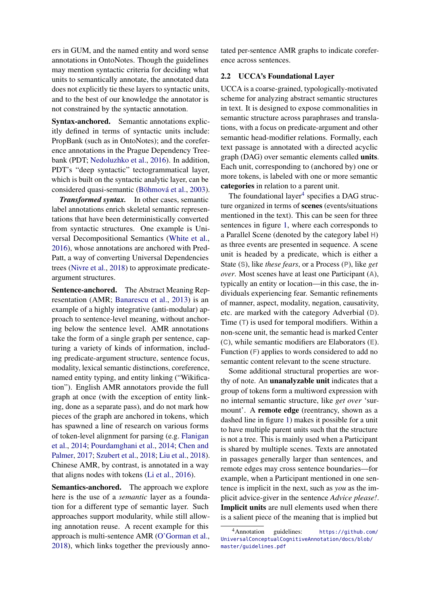ers in GUM, and the named entity and word sense annotations in OntoNotes. Though the guidelines may mention syntactic criteria for deciding what units to semantically annotate, the annotated data does not explicitly tie these layers to syntactic units, and to the best of our knowledge the annotator is not constrained by the syntactic annotation.

Syntax-anchored. Semantic annotations explicitly defined in terms of syntactic units include: PropBank (such as in OntoNotes); and the coreference annotations in the Prague Dependency Treebank (PDT; [Nedoluzhko et al.,](#page-9-7) [2016\)](#page-9-7). In addition, PDT's "deep syntactic" tectogrammatical layer, which is built on the syntactic analytic layer, can be considered quasi-semantic [\(Böhmová et al.,](#page-8-2) [2003\)](#page-8-2).

*Transformed syntax.* In other cases, semantic label annotations enrich skeletal semantic representations that have been deterministically converted from syntactic structures. One example is Universal Decompositional Semantics [\(White et al.,](#page-9-8) [2016\)](#page-9-8), whose annotations are anchored with Pred-Patt, a way of converting Universal Dependencies trees [\(Nivre et al.,](#page-8-3) [2018\)](#page-8-3) to approximate predicateargument structures.

Sentence-anchored. The Abstract Meaning Representation (AMR; [Banarescu et al.,](#page-8-4) [2013\)](#page-8-4) is an example of a highly integrative (anti-modular) approach to sentence-level meaning, without anchoring below the sentence level. AMR annotations take the form of a single graph per sentence, capturing a variety of kinds of information, including predicate-argument structure, sentence focus, modality, lexical semantic distinctions, coreference, named entity typing, and entity linking ("Wikification"). English AMR annotators provide the full graph at once (with the exception of entity linking, done as a separate pass), and do not mark how pieces of the graph are anchored in tokens, which has spawned a line of research on various forms of token-level alignment for parsing (e.g. [Flanigan](#page-8-5) [et al.,](#page-8-5) [2014;](#page-8-5) [Pourdamghani et al.,](#page-9-9) [2014;](#page-9-9) [Chen and](#page-8-6) [Palmer,](#page-8-6) [2017;](#page-8-6) [Szubert et al.,](#page-9-10) [2018;](#page-9-10) [Liu et al.,](#page-9-11) [2018\)](#page-9-11). Chinese AMR, by contrast, is annotated in a way that aligns nodes with tokens [\(Li et al.,](#page-9-12) [2016\)](#page-9-12).

Semantics-anchored. The approach we explore here is the use of a *semantic* layer as a foundation for a different type of semantic layer. Such approaches support modularity, while still allowing annotation reuse. A recent example for this approach is multi-sentence AMR [\(O'Gorman et al.,](#page-9-13) [2018\)](#page-9-13), which links together the previously annotated per-sentence AMR graphs to indicate coreference across sentences.

### <span id="page-2-0"></span>2.2 UCCA's Foundational Layer

UCCA is a coarse-grained, typologically-motivated scheme for analyzing abstract semantic structures in text. It is designed to expose commonalities in semantic structure across paraphrases and translations, with a focus on predicate-argument and other semantic head-modifier relations. Formally, each text passage is annotated with a directed acyclic graph (DAG) over semantic elements called units. Each unit, corresponding to (anchored by) one or more tokens, is labeled with one or more semantic categories in relation to a parent unit.

The foundational layer $<sup>4</sup>$  $<sup>4</sup>$  $<sup>4</sup>$  specifies a DAG struc-</sup> ture organized in terms of scenes (events/situations mentioned in the text). This can be seen for three sentences in figure [1,](#page-1-0) where each corresponds to a Parallel Scene (denoted by the category label **H**) as three events are presented in sequence. A scene unit is headed by a predicate, which is either a State (**S**), like *these fears*, or a Process (**P**), like *get over*. Most scenes have at least one Participant (**A**), typically an entity or location—in this case, the individuals experiencing fear. Semantic refinements of manner, aspect, modality, negation, causativity, etc. are marked with the category Adverbial (**D**). Time (**T**) is used for temporal modifiers. Within a non-scene unit, the semantic head is marked Center (**C**), while semantic modifiers are Elaborators (**E**). Function (**F**) applies to words considered to add no semantic content relevant to the scene structure.

Some additional structural properties are worthy of note. An unanalyzable unit indicates that a group of tokens form a multiword expression with no internal semantic structure, like *get over* 'surmount'. A **remote edge** (reentrancy, shown as a dashed line in figure [1\)](#page-1-0) makes it possible for a unit to have multiple parent units such that the structure is not a tree. This is mainly used when a Participant is shared by multiple scenes. Texts are annotated in passages generally larger than sentences, and remote edges may cross sentence boundaries—for example, when a Participant mentioned in one sentence is implicit in the next, such as *you* as the implicit advice-giver in the sentence *Advice please!*. Implicit units are null elements used when there is a salient piece of the meaning that is implied but

<sup>4</sup>Annotation guidelines: [https://github.com/](https://github.com/UniversalConceptualCognitiveAnnotation/docs/blob/master/guidelines.pdf) [UniversalConceptualCognitiveAnnotation/docs/blob/](https://github.com/UniversalConceptualCognitiveAnnotation/docs/blob/master/guidelines.pdf) [master/guidelines.pdf](https://github.com/UniversalConceptualCognitiveAnnotation/docs/blob/master/guidelines.pdf)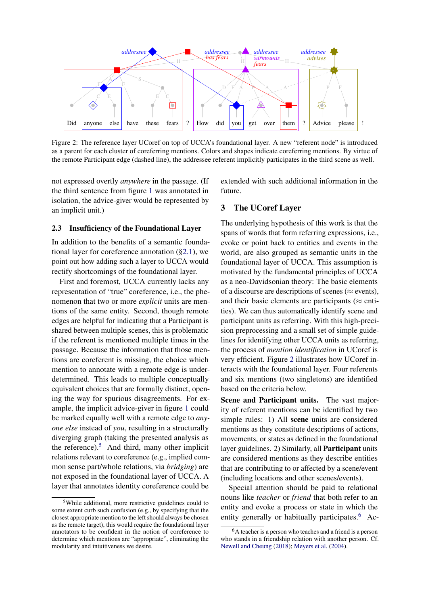<span id="page-3-1"></span>

Figure 2: The reference layer UCoref on top of UCCA's foundational layer. A new "referent node" is introduced as a parent for each cluster of coreferring mentions. Colors and shapes indicate coreferring mentions. By virtue of the remote Participant edge (dashed line), the addressee referent implicitly participates in the third scene as well.

not expressed overtly *anywhere* in the passage. (If the third sentence from figure [1](#page-1-0) was annotated in isolation, the advice-giver would be represented by an implicit unit.)

### <span id="page-3-2"></span>2.3 Insufficiency of the Foundational Layer

In addition to the benefits of a semantic foundational layer for coreference annotation ([§2.1\)](#page-1-1), we point out how adding such a layer to UCCA would rectify shortcomings of the foundational layer.

First and foremost, UCCA currently lacks any representation of "true" coreference, i.e., the phenomenon that two or more *explicit* units are mentions of the same entity. Second, though remote edges are helpful for indicating that a Participant is shared between multiple scenes, this is problematic if the referent is mentioned multiple times in the passage. Because the information that those mentions are coreferent is missing, the choice which mention to annotate with a remote edge is underdetermined. This leads to multiple conceptually equivalent choices that are formally distinct, opening the way for spurious disagreements. For example, the implicit advice-giver in figure [1](#page-1-0) could be marked equally well with a remote edge to *anyone else* instead of *you*, resulting in a structurally diverging graph (taking the presented analysis as the reference). $5$  And third, many other implicit relations relevant to coreference (e.g., implied common sense part/whole relations, via *bridging*) are not exposed in the foundational layer of UCCA. A layer that annotates identity coreference could be

extended with such additional information in the future.

### <span id="page-3-0"></span>3 The UCoref Layer

The underlying hypothesis of this work is that the spans of words that form referring expressions, i.e., evoke or point back to entities and events in the world, are also grouped as semantic units in the foundational layer of UCCA. This assumption is motivated by the fundamental principles of UCCA as a neo-Davidsonian theory: The basic elements of a discourse are descriptions of scenes ( $\approx$  events), and their basic elements are participants ( $\approx$  entities). We can thus automatically identify scene and participant units as referring. With this high-precision preprocessing and a small set of simple guidelines for identifying other UCCA units as referring, the process of *mention identification* in UCoref is very efficient. Figure [2](#page-3-1) illustrates how UCoref interacts with the foundational layer. Four referents and six mentions (two singletons) are identified based on the criteria below.

Scene and Participant units. The vast majority of referent mentions can be identified by two simple rules: 1) All scene units are considered mentions as they constitute descriptions of actions, movements, or states as defined in the foundational layer guidelines. 2) Similarly, all Participant units are considered mentions as they describe entities that are contributing to or affected by a scene/event (including locations and other scenes/events).

Special attention should be paid to relational nouns like *teacher* or *friend* that both refer to an entity and evoke a process or state in which the entity generally or habitually participates. $6$  Ac-

<sup>5</sup>While additional, more restrictive guidelines could to some extent curb such confusion (e.g., by specifying that the closest appropriate mention to the left should always be chosen as the remote target), this would require the foundational layer annotators to be confident in the notion of coreference to determine which mentions are "appropriate", eliminating the modularity and intuitiveness we desire.

<sup>6</sup>A teacher is a person who teaches and a friend is a person who stands in a friendship relation with another person. Cf. [Newell and Cheung](#page-9-14) [\(2018\)](#page-9-14); [Meyers et al.](#page-9-15) [\(2004\)](#page-9-15).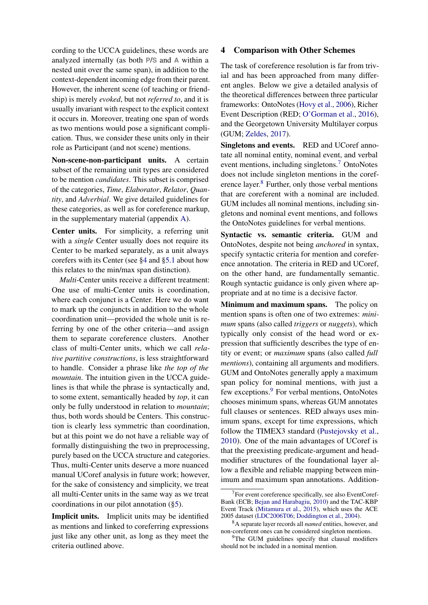cording to the UCCA guidelines, these words are analyzed internally (as both **P**/**S** and **A** within a nested unit over the same span), in addition to the context-dependent incoming edge from their parent. However, the inherent scene (of teaching or friendship) is merely *evoked*, but not *referred to*, and it is usually invariant with respect to the explicit context it occurs in. Moreover, treating one span of words as two mentions would pose a significant complication. Thus, we consider these units only in their role as Participant (and not scene) mentions.

Non-scene-non-participant units. A certain subset of the remaining unit types are considered to be mention *candidates*. This subset is comprised of the categories, *Time*, *Elaborator*, *Relator*, *Quantity*, and *Adverbial*. We give detailed guidelines for these categories, as well as for coreference markup, in the supplementary material (appendix [A\)](#page-10-0).

Center units. For simplicity, a referring unit with a *single* Center usually does not require its Center to be marked separately, as a unit always corefers with its Center (see [§4](#page-4-0) and [§5.1](#page-6-0) about how this relates to the min/max span distinction).

*Multi*-Center units receive a different treatment: One use of multi-Center units is coordination, where each conjunct is a Center. Here we do want to mark up the conjuncts in addition to the whole coordination unit—provided the whole unit is referring by one of the other criteria—and assign them to separate coreference clusters. Another class of multi-Center units, which we call *relative partitive constructions*, is less straightforward to handle. Consider a phrase like *the top of the mountain*. The intuition given in the UCCA guidelines is that while the phrase is syntactically and, to some extent, semantically headed by *top*, it can only be fully understood in relation to *mountain*; thus, both words should be Centers. This construction is clearly less symmetric than coordination, but at this point we do not have a reliable way of formally distinguishing the two in preprocessing, purely based on the UCCA structure and categories. Thus, multi-Center units deserve a more nuanced manual UCoref analysis in future work; however, for the sake of consistency and simplicity, we treat all multi-Center units in the same way as we treat coordinations in our pilot annotation ([§5\)](#page-5-0).

<span id="page-4-0"></span>Implicit units. Implicit units may be identified as mentions and linked to coreferring expressions just like any other unit, as long as they meet the criteria outlined above.

### 4 Comparison with Other Schemes

The task of coreference resolution is far from trivial and has been approached from many different angles. Below we give a detailed analysis of the theoretical differences between three particular frameworks: OntoNotes [\(Hovy et al.,](#page-9-3) [2006\)](#page-9-3), Richer Event Description (RED; [O'Gorman et al.,](#page-9-6) [2016\)](#page-9-6), and the Georgetown University Multilayer corpus (GUM; [Zeldes,](#page-9-5) [2017\)](#page-9-5).

Singletons and events. RED and UCoref annotate all nominal entity, nominal event, and verbal event mentions, including singletons.[7](#page-0-1) OntoNotes does not include singleton mentions in the coref-erence layer.<sup>[8](#page-0-1)</sup> Further, only those verbal mentions that are coreferent with a nominal are included. GUM includes all nominal mentions, including singletons and nominal event mentions, and follows the OntoNotes guidelines for verbal mentions.

Syntactic vs. semantic criteria. GUM and OntoNotes, despite not being *anchored* in syntax, specify syntactic criteria for mention and coreference annotation. The criteria in RED and UCoref, on the other hand, are fundamentally semantic. Rough syntactic guidance is only given where appropriate and at no time is a decisive factor.

Minimum and maximum spans. The policy on mention spans is often one of two extremes: *minimum* spans (also called *triggers* or *nuggets*), which typically only consist of the head word or expression that sufficiently describes the type of entity or event; or *maximum* spans (also called *full mentions*), containing all arguments and modifiers. GUM and OntoNotes generally apply a maximum span policy for nominal mentions, with just a few exceptions.<sup>[9](#page-0-1)</sup> For verbal mentions, OntoNotes chooses minimum spans, whereas GUM annotates full clauses or sentences. RED always uses minimum spans, except for time expressions, which follow the TIMEX3 standard [\(Pustejovsky et al.,](#page-9-16) [2010\)](#page-9-16). One of the main advantages of UCoref is that the preexisting predicate-argument and headmodifier structures of the foundational layer allow a flexible and reliable mapping between minimum and maximum span annotations. Addition-

<sup>&</sup>lt;sup>7</sup>For event coreference specifically, see also EventCoref-Bank (ECB; [Bejan and Harabagiu,](#page-8-7) [2010\)](#page-8-7) and the TAC-KBP Event Track [\(Mitamura et al.,](#page-9-17) [2015\)](#page-9-17), which uses the ACE 2005 dataset [\(LDC2006T06;](https://catalog.ldc.upenn.edu/LDC2006T06) [Doddington et al.,](#page-8-8) [2004\)](#page-8-8).

<sup>8</sup>A separate layer records all *named* entities, however, and non-coreferent ones can be considered singleton mentions.

 $9$ The GUM guidelines specify that clausal modifiers should not be included in a nominal mention.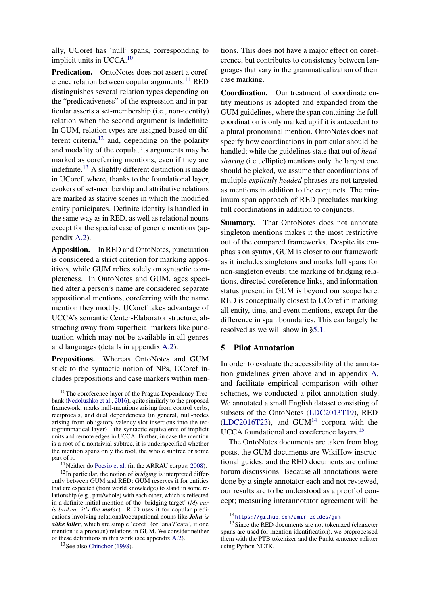ally, UCoref has 'null' spans, corresponding to implicit units in UCCA.<sup>[10](#page-0-1)</sup>

Predication. OntoNotes does not assert a coref-erence relation between copular arguments.<sup>[11](#page-0-1)</sup> RED distinguishes several relation types depending on the "predicativeness" of the expression and in particular asserts a set-membership (i.e., non-identity) relation when the second argument is indefinite. In GUM, relation types are assigned based on different criteria, $12$  and, depending on the polarity and modality of the copula, its arguments may be marked as coreferring mentions, even if they are indefinite.<sup>[13](#page-0-1)</sup> A slightly different distinction is made in UCoref, where, thanks to the foundational layer, evokers of set-membership and attributive relations are marked as stative scenes in which the modified entity participates. Definite identity is handled in the same way as in RED, as well as relational nouns except for the special case of generic mentions (appendix [A.2\)](#page-11-0).

Apposition. In RED and OntoNotes, punctuation is considered a strict criterion for marking appositives, while GUM relies solely on syntactic completeness. In OntoNotes and GUM, ages specified after a person's name are considered separate appositional mentions, coreferring with the name mention they modify. UCoref takes advantage of UCCA's semantic Center-Elaborator structure, abstracting away from superficial markers like punctuation which may not be available in all genres and languages (details in appendix [A.2\)](#page-11-0).

Prepositions. Whereas OntoNotes and GUM stick to the syntactic notion of NPs, UCoref includes prepositions and case markers within men-

tions. This does not have a major effect on coreference, but contributes to consistency between languages that vary in the grammaticalization of their case marking.

Coordination. Our treatment of coordinate entity mentions is adopted and expanded from the GUM guidelines, where the span containing the full coordination is only marked up if it is antecedent to a plural pronominal mention. OntoNotes does not specify how coordinations in particular should be handled; while the guidelines state that out of *headsharing* (i.e., elliptic) mentions only the largest one should be picked, we assume that coordinations of multiple *explicitly headed* phrases are not targeted as mentions in addition to the conjuncts. The minimum span approach of RED precludes marking full coordinations in addition to conjuncts.

Summary. That OntoNotes does not annotate singleton mentions makes it the most restrictive out of the compared frameworks. Despite its emphasis on syntax, GUM is closer to our framework as it includes singletons and marks full spans for non-singleton events; the marking of bridging relations, directed coreference links, and information status present in GUM is beyond our scope here. RED is conceptually closest to UCoref in marking all entity, time, and event mentions, except for the difference in span boundaries. This can largely be resolved as we will show in [§5.1.](#page-6-0)

#### <span id="page-5-0"></span>5 Pilot Annotation

In order to evaluate the accessibility of the annotation guidelines given above and in appendix [A,](#page-10-0) and facilitate empirical comparison with other schemes, we conducted a pilot annotation study. We annotated a small English dataset consisting of subsets of the OntoNotes [\(LDC2013T19\)](https://catalog.ldc.upenn.edu/LDC2013T19), RED  $(LDC2016T23)$ , and  $GUM<sup>14</sup>$  $GUM<sup>14</sup>$  $GUM<sup>14</sup>$  corpora with the UCCA foundational and coreference layers.[15](#page-0-1)

The OntoNotes documents are taken from blog posts, the GUM documents are WikiHow instructional guides, and the RED documents are online forum discussions. Because all annotations were done by a single annotator each and not reviewed, our results are to be understood as a proof of concept; measuring interannotator agreement will be

<sup>&</sup>lt;sup>10</sup>The coreference layer of the Prague Dependency Treebank [\(Nedoluzhko et al.,](#page-9-7) [2016\)](#page-9-7), quite similarly to the proposed framework, marks null-mentions arising from control verbs, reciprocals, and dual dependencies (in general, null-nodes arising from obligatory valency slot insertions into the tectogrammatical layer)—the syntactic equivalents of implicit units and remote edges in UCCA. Further, in case the mention is a root of a nontrivial subtree, it is underspecified whether the mention spans only the root, the whole subtree or some part of it.

 $11$ Neither do [Poesio et al.](#page-9-18) (in the ARRAU corpus; [2008\)](#page-9-18).

<sup>12</sup>In particular, the notion of *bridging* is interpreted differently between GUM and RED: GUM reserves it for entities that are expected (from world knowledge) to stand in some relationship (e.g., part/whole) with each other, which is reflected in a definite initial mention of the 'bridging target' (*My car is broken; it's the motor*). RED uses it for copular predications involving relational/occupational nouns like *John is a/the killer*, which are simple 'coref' (or 'ana'/'cata', if one mention is a pronoun) relations in GUM. We consider neither of these definitions in this work (see appendix [A.2\)](#page-11-0).

<sup>13</sup>See also [Chinchor](#page-8-9) [\(1998\)](#page-8-9).

<sup>14</sup><https://github.com/amir-zeldes/gum>

<sup>&</sup>lt;sup>15</sup>Since the RED documents are not tokenized (character spans are used for mention identification), we preprocessed them with the PTB tokenizer and the Punkt sentence splitter using Python NLTK.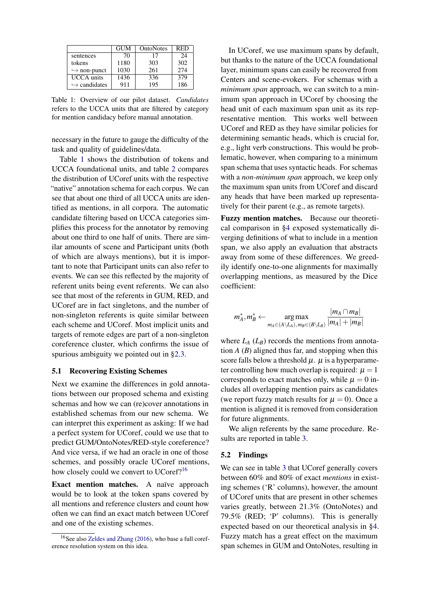<span id="page-6-1"></span>

|                              | GUM  | OntoNotes | <b>RED</b> |
|------------------------------|------|-----------|------------|
| sentences                    | 70   | 17        | 24         |
| tokens                       | 1180 | 303       | 302        |
| $\hookrightarrow$ non-punct  | 1030 | 261       | 2.74       |
| <b>UCCA</b> units            | 1436 | 336       | 379        |
| $\hookrightarrow$ candidates | 911  | 195       | 186        |

Table 1: Overview of our pilot dataset. *Candidates* refers to the UCCA units that are filtered by category for mention candidacy before manual annotation.

necessary in the future to gauge the difficulty of the task and quality of guidelines/data.

Table [1](#page-6-1) shows the distribution of tokens and UCCA foundational units, and table [2](#page-7-0) compares the distribution of UCoref units with the respective "native" annotation schema for each corpus. We can see that about one third of all UCCA units are identified as mentions, in all corpora. The automatic candidate filtering based on UCCA categories simplifies this process for the annotator by removing about one third to one half of units. There are similar amounts of scene and Participant units (both of which are always mentions), but it is important to note that Participant units can also refer to events. We can see this reflected by the majority of referent units being event referents. We can also see that most of the referents in GUM, RED, and UCoref are in fact singletons, and the number of non-singleton referents is quite similar between each scheme and UCoref. Most implicit units and targets of remote edges are part of a non-singleton coreference cluster, which confirms the issue of spurious ambiguity we pointed out in [§2.3.](#page-3-2)

#### <span id="page-6-0"></span>5.1 Recovering Existing Schemes

Next we examine the differences in gold annotations between our proposed schema and existing schemas and how we can (re)cover annotations in established schemas from our new schema. We can interpret this experiment as asking: If we had a perfect system for UCoref, could we use that to predict GUM/OntoNotes/RED-style coreference? And vice versa, if we had an oracle in one of those schemes, and possibly oracle UCoref mentions, how closely could we convert to UCoref?<sup>[16](#page-0-1)</sup>

Exact mention matches. A naïve approach would be to look at the token spans covered by all mentions and reference clusters and count how often we can find an exact match between UCoref and one of the existing schemes.

In UCoref, we use maximum spans by default, but thanks to the nature of the UCCA foundational layer, minimum spans can easily be recovered from Centers and scene-evokers. For schemas with a *minimum span* approach, we can switch to a minimum span approach in UCoref by choosing the head unit of each maximum span unit as its representative mention. This works well between UCoref and RED as they have similar policies for determining semantic heads, which is crucial for, e.g., light verb constructions. This would be problematic, however, when comparing to a minimum span schema that uses syntactic heads. For schemas with a *non-minimum span* approach, we keep only the maximum span units from UCoref and discard any heads that have been marked up representatively for their parent (e.g., as remote targets).

Fuzzy mention matches. Because our theoretical comparison in [§4](#page-4-0) exposed systematically diverging definitions of what to include in a mention span, we also apply an evaluation that abstracts away from some of these differences. We greedily identify one-to-one alignments for maximally overlapping mentions, as measured by the Dice coefficient:

$$
m_A^*, m_B^* \leftarrow \mathop{\arg\max}_{m_A \in (A \setminus L_A), m_B \in (B \setminus L_B)} \frac{|m_A \cap m_B|}{|m_A| + |m_B|}
$$

where  $L_A(L_B)$  records the mentions from annotation  $A(B)$  aligned thus far, and stopping when this score falls below a threshold  $\mu$ .  $\mu$  is a hyperparameter controlling how much overlap is required:  $\mu = 1$ corresponds to exact matches only, while  $\mu = 0$  includes all overlapping mention pairs as candidates (we report fuzzy match results for  $\mu = 0$ ). Once a mention is aligned it is removed from consideration for future alignments.

We align referents by the same procedure. Results are reported in table [3.](#page-7-1)

#### 5.2 Findings

We can see in table [3](#page-7-1) that UCoref generally covers between 60% and 80% of exact *mentions* in existing schemes ('R' columns), however, the amount of UCoref units that are present in other schemes varies greatly, between 21.3% (OntoNotes) and 79.5% (RED; 'P' columns). This is generally expected based on our theoretical analysis in [§4.](#page-4-0) Fuzzy match has a great effect on the maximum span schemes in GUM and OntoNotes, resulting in

<sup>&</sup>lt;sup>16</sup>See also [Zeldes and Zhang](#page-9-19) [\(2016\)](#page-9-19), who base a full coreference resolution system on this idea.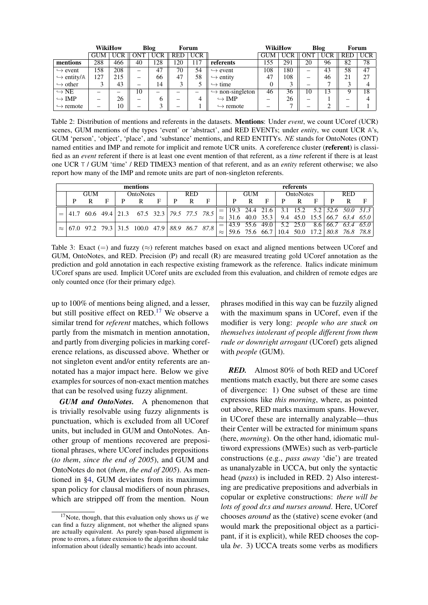<span id="page-7-0"></span>

|                            | WikiHow<br>Blog<br>Forum |                          |            |                          | WikiHow |                          |                             | Blog       | Forum |            |            |            |            |
|----------------------------|--------------------------|--------------------------|------------|--------------------------|---------|--------------------------|-----------------------------|------------|-------|------------|------------|------------|------------|
|                            | <b>GUM</b>               | <b>UCR</b>               | <b>ONT</b> | <b>UCR</b>               | RED     | <b>UCR</b>               |                             | <b>GUM</b> |       | <b>ONT</b> | <b>UCR</b> | <b>RED</b> | <b>UCR</b> |
| mentions                   | 288                      | 466                      | 40         | 128                      | 120     | 117                      | referents                   | 155        | 291   | 20         | 96         | 82         | 78         |
| $\hookrightarrow$ event    | 158                      | 208                      | —          | 47                       | 70      | 54                       | $\hookrightarrow$ event     | 108        | 180   | —          | 43         | 58         | 47         |
| $\hookrightarrow$ entity/A | 127                      | 215                      | -          | 66                       | 47      | 58                       | $\hookrightarrow$ entity    | 47         | 108   | —          | 46         | 21         | 27         |
| $\hookrightarrow$ other    |                          | 43                       | —          | 14                       |         | J                        | $\hookrightarrow$ time      |            |       |            |            |            |            |
| $\hookrightarrow$ NE       |                          | $\overline{\phantom{0}}$ | 10         | $\overline{\phantom{0}}$ |         | $\overline{\phantom{0}}$ | $\rightarrow$ non-singleton | 46         | 36    | 10         | 13         | Q          | 18         |
| $\hookrightarrow$ IMP      | $\overline{\phantom{0}}$ | 26                       | -          | h                        | —       | 4                        | $\hookrightarrow$ IMP       | –          | 26    | —          |            | —          |            |
| $\hookrightarrow$ remote   | $\overline{\phantom{0}}$ | 10                       | —          | ⌒                        |         |                          | $\hookrightarrow$ remote    |            | −     |            |            |            |            |

Table 2: Distribution of mentions and referents in the datasets. Mentions: Under *event*, we count UCoref (UCR) scenes, GUM mentions of the types 'event' or 'abstract', and RED EVENTs; under *entity*, we count UCR **A**'s, GUM 'person', 'object', 'place', and 'substance' mentions, and RED ENTITYs. *NE* stands for OntoNotes (ONT) named entities and IMP and remote for implicit and remote UCR units. A coreference cluster (**referent**) is classified as an *event* referent if there is at least one event mention of that referent, as a *time* referent if there is at least one UCR **T** / GUM 'time' / RED TIMEX3 mention of that referent, and as an *entity* referent otherwise; we also report how many of the IMP and remote units are part of non-singleton referents.

<span id="page-7-1"></span>

| mentions |  |            |   |  |                                                                                              |   |  |            |   |  | referents  |   |   |           |   |   |            |                                                       |                                                |  |
|----------|--|------------|---|--|----------------------------------------------------------------------------------------------|---|--|------------|---|--|------------|---|---|-----------|---|---|------------|-------------------------------------------------------|------------------------------------------------|--|
|          |  | <b>GUM</b> |   |  | <b>OntoNotes</b>                                                                             |   |  | <b>RED</b> |   |  | <b>GUM</b> |   |   | OntoNotes |   |   | <b>RED</b> |                                                       |                                                |  |
|          |  | R          | F |  | R                                                                                            | F |  | R          | F |  | D          | R | F | P         | R | E | D          | R                                                     |                                                |  |
|          |  |            |   |  | $\begin{vmatrix} 41.7 & 60.6 & 49.4 & 21.3 & 67.5 & 32.3 & 79.5 & 77.5 & 78.5 \end{vmatrix}$ |   |  |            |   |  |            |   |   |           |   |   |            | $=$ 19.3 24.4 21.6 3.1 15.2 5.2 52.6 50.0 51.3        |                                                |  |
|          |  |            |   |  |                                                                                              |   |  |            |   |  |            |   |   |           |   |   |            | $\approx$ 31.6 40.0 35.3 9.4 45.0 15.5 66.7 63.4 65.0 |                                                |  |
|          |  |            |   |  | $\approx 67.0$ 97.2 79.3 31.5 100.0 47.9 88.9 86.7 87.8                                      |   |  |            |   |  |            |   |   |           |   |   |            |                                                       | $=$ 43.9 55.6 49.0 5.2 25.0 8.6 66.7 63.4 65.0 |  |
|          |  |            |   |  |                                                                                              |   |  |            |   |  |            |   |   |           |   |   |            |                                                       | 59.6 75.6 66.7 10.4 50.0 17.2 80.8 76.8 78.8   |  |

Table 3: Exact  $(=)$  and fuzzy  $(\approx)$  referent matches based on exact and aligned mentions between UCoref and GUM, OntoNotes, and RED. Precision (P) and recall (R) are measured treating gold UCoref annotation as the prediction and gold annotation in each respective existing framework as the reference. Italics indicate minimum UCoref spans are used. Implicit UCoref units are excluded from this evaluation, and children of remote edges are only counted once (for their primary edge).

up to 100% of mentions being aligned, and a lesser, but still positive effect on RED.<sup>[17](#page-0-1)</sup> We observe a similar trend for *referent* matches, which follows partly from the mismatch in mention annotation, and partly from diverging policies in marking coreference relations, as discussed above. Whether or not singleton event and/or entity referents are annotated has a major impact here. Below we give examples for sources of non-exact mention matches that can be resolved using fuzzy alignment.

*GUM and OntoNotes.* A phenomenon that is trivially resolvable using fuzzy alignments is punctuation, which is excluded from all UCoref units, but included in GUM and OntoNotes. Another group of mentions recovered are prepositional phrases, where UCoref includes prepositions (*to them*, *since the end of 2005*), and GUM and OntoNotes do not (*them*, *the end of 2005*). As mentioned in [§4,](#page-4-0) GUM deviates from its maximum span policy for clausal modifiers of noun phrases, which are stripped off from the mention. Noun phrases modified in this way can be fuzzily aligned with the maximum spans in UCoref, even if the modifier is very long: *people who are stuck on themselves intolerant of people different from them rude or downright arrogant* (UCoref) gets aligned with *people* (GUM).

*RED.* Almost 80% of both RED and UCoref mentions match exactly, but there are some cases of divergence: 1) One subset of these are time expressions like *this morning*, where, as pointed out above, RED marks maximum spans. However, in UCoref these are internally analyzable—thus their Center will be extracted for minimum spans (here, *morning*). On the other hand, idiomatic multiword expressions (MWEs) such as verb-particle constructions (e.g., *pass away* 'die') are treated as unanalyzable in UCCA, but only the syntactic head (*pass*) is included in RED. 2) Also interesting are predicative prepositions and adverbials in copular or expletive constructions: *there will be lots of good dr.s and nurses around*. Here, UCoref chooses *around* as the (stative) scene evoker (and would mark the prepositional object as a participant, if it is explicit), while RED chooses the copula *be*. 3) UCCA treats some verbs as modifiers

<sup>17</sup>Note, though, that this evaluation only shows us *if* we can find a fuzzy alignment, not whether the aligned spans are actually equivalent. As purely span-based alignment is prone to errors, a future extension to the algorithm should take information about (ideally semantic) heads into account.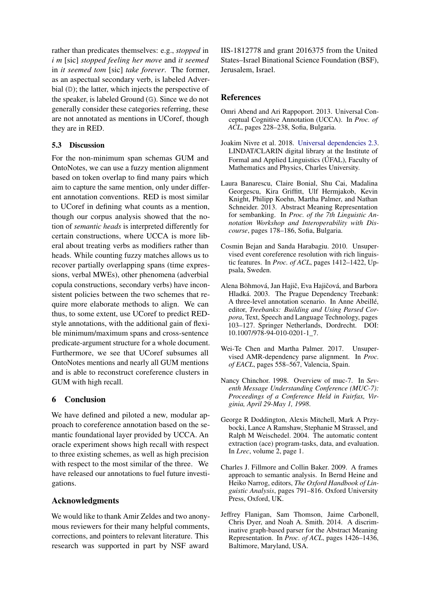rather than predicates themselves: e.g., *stopped* in *i m* [sic] *stopped feeling her move* and *it seemed* in *it seemed tom* [sic] *take forever*. The former, as an aspectual secondary verb, is labeled Adverbial (D); the latter, which injects the perspective of the speaker, is labeled Ground (**G**). Since we do not generally consider these categories referring, these are not annotated as mentions in UCoref, though they are in RED.

## 5.3 Discussion

For the non-minimum span schemas GUM and OntoNotes, we can use a fuzzy mention alignment based on token overlap to find many pairs which aim to capture the same mention, only under different annotation conventions. RED is most similar to UCoref in defining what counts as a mention, though our corpus analysis showed that the notion of *semantic heads* is interpreted differently for certain constructions, where UCCA is more liberal about treating verbs as modifiers rather than heads. While counting fuzzy matches allows us to recover partially overlapping spans (time expressions, verbal MWEs), other phenomena (adverbial copula constructions, secondary verbs) have inconsistent policies between the two schemes that require more elaborate methods to align. We can thus, to some extent, use UCoref to predict REDstyle annotations, with the additional gain of flexible minimum/maximum spans and cross-sentence predicate-argument structure for a whole document. Furthermore, we see that UCoref subsumes all OntoNotes mentions and nearly all GUM mentions and is able to reconstruct coreference clusters in GUM with high recall.

## 6 Conclusion

We have defined and piloted a new, modular approach to coreference annotation based on the semantic foundational layer provided by UCCA. An oracle experiment shows high recall with respect to three existing schemes, as well as high precision with respect to the most similar of the three. We have released our annotations to fuel future investigations.

## Acknowledgments

We would like to thank Amir Zeldes and two anonymous reviewers for their many helpful comments, corrections, and pointers to relevant literature. This research was supported in part by NSF award

IIS-1812778 and grant 2016375 from the United States–Israel Binational Science Foundation (BSF), Jerusalem, Israel.

## References

- <span id="page-8-0"></span>Omri Abend and Ari Rappoport. 2013. Universal Conceptual Cognitive Annotation (UCCA). In *Proc. of ACL*, pages 228–238, Sofia, Bulgaria.
- <span id="page-8-3"></span>Joakim Nivre et al. 2018. [Universal dependencies 2.3.](http://hdl.handle.net/11234/1-2895) LINDAT/CLARIN digital library at the Institute of Formal and Applied Linguistics (ÚFAL), Faculty of Mathematics and Physics, Charles University.
- <span id="page-8-4"></span>Laura Banarescu, Claire Bonial, Shu Cai, Madalina Georgescu, Kira Griffitt, Ulf Hermjakob, Kevin Knight, Philipp Koehn, Martha Palmer, and Nathan Schneider. 2013. Abstract Meaning Representation for sembanking. In *Proc. of the 7th Linguistic Annotation Workshop and Interoperability with Discourse*, pages 178–186, Sofia, Bulgaria.
- <span id="page-8-7"></span>Cosmin Bejan and Sanda Harabagiu. 2010. Unsupervised event coreference resolution with rich linguistic features. In *Proc. of ACL*, pages 1412–1422, Uppsala, Sweden.
- <span id="page-8-2"></span>Alena Böhmová, Jan Hajič, Eva Hajičová, and Barbora Hladká. 2003. The Prague Dependency Treebank: A three-level annotation scenario. In Anne Abeillé, editor, *Treebanks: Building and Using Parsed Corpora*, Text, Speech and Language Technology, pages 103–127. Springer Netherlands, Dordrecht. DOI: 10.1007/978-94-010-0201-1\_7.
- <span id="page-8-6"></span>Wei-Te Chen and Martha Palmer. 2017. Unsupervised AMR-dependency parse alignment. In *Proc. of EACL*, pages 558–567, Valencia, Spain.
- <span id="page-8-9"></span>Nancy Chinchor. 1998. Overview of muc-7. In *Seventh Message Understanding Conference (MUC-7): Proceedings of a Conference Held in Fairfax, Virginia, April 29-May 1, 1998*.
- <span id="page-8-8"></span>George R Doddington, Alexis Mitchell, Mark A Przybocki, Lance A Ramshaw, Stephanie M Strassel, and Ralph M Weischedel. 2004. The automatic content extraction (ace) program-tasks, data, and evaluation. In *Lrec*, volume 2, page 1.
- <span id="page-8-1"></span>Charles J. Fillmore and Collin Baker. 2009. A frames approach to semantic analysis. In Bernd Heine and Heiko Narrog, editors, *The Oxford Handbook of Linguistic Analysis*, pages 791–816. Oxford University Press, Oxford, UK.
- <span id="page-8-5"></span>Jeffrey Flanigan, Sam Thomson, Jaime Carbonell, Chris Dyer, and Noah A. Smith. 2014. A discriminative graph-based parser for the Abstract Meaning Representation. In *Proc. of ACL*, pages 1426–1436, Baltimore, Maryland, USA.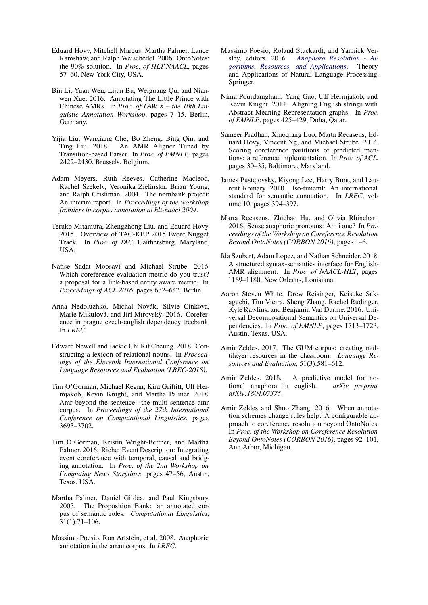- <span id="page-9-3"></span>Eduard Hovy, Mitchell Marcus, Martha Palmer, Lance Ramshaw, and Ralph Weischedel. 2006. OntoNotes: the 90% solution. In *Proc. of HLT-NAACL*, pages 57–60, New York City, USA.
- <span id="page-9-12"></span>Bin Li, Yuan Wen, Lijun Bu, Weiguang Qu, and Nianwen Xue. 2016. Annotating The Little Prince with Chinese AMRs. In *Proc. of LAW X – the 10th Linguistic Annotation Workshop*, pages 7–15, Berlin, Germany.
- <span id="page-9-11"></span>Yijia Liu, Wanxiang Che, Bo Zheng, Bing Qin, and Ting Liu. 2018. An AMR Aligner Tuned by Transition-based Parser. In *Proc. of EMNLP*, pages 2422–2430, Brussels, Belgium.
- <span id="page-9-15"></span>Adam Meyers, Ruth Reeves, Catherine Macleod, Rachel Szekely, Veronika Zielinska, Brian Young, and Ralph Grishman. 2004. The nombank project: An interim report. In *Proceedings of the workshop frontiers in corpus annotation at hlt-naacl 2004*.
- <span id="page-9-17"></span>Teruko Mitamura, Zhengzhong Liu, and Eduard Hovy. 2015. Overview of TAC-KBP 2015 Event Nugget Track. In *Proc. of TAC*, Gaithersburg, Maryland, USA.
- <span id="page-9-2"></span>Nafise Sadat Moosavi and Michael Strube. 2016. Which coreference evaluation metric do you trust? a proposal for a link-based entity aware metric. In *Proceedings of ACL 2016*, pages 632–642, Berlin.
- <span id="page-9-7"></span>Anna Nedoluzhko, Michal Novák, Silvie Cinkova, Marie Mikulová, and Jirí Mírovský. 2016. Coreference in prague czech-english dependency treebank. In *LREC*.
- <span id="page-9-14"></span>Edward Newell and Jackie Chi Kit Cheung. 2018. Constructing a lexicon of relational nouns. In *Proceedings of the Eleventh International Conference on Language Resources and Evaluation (LREC-2018)*.
- <span id="page-9-13"></span>Tim O'Gorman, Michael Regan, Kira Griffitt, Ulf Hermjakob, Kevin Knight, and Martha Palmer. 2018. Amr beyond the sentence: the multi-sentence amr corpus. In *Proceedings of the 27th International Conference on Computational Linguistics*, pages 3693–3702.
- <span id="page-9-6"></span>Tim O'Gorman, Kristin Wright-Bettner, and Martha Palmer. 2016. Richer Event Description: Integrating event coreference with temporal, causal and bridging annotation. In *Proc. of the 2nd Workshop on Computing News Storylines*, pages 47–56, Austin, Texas, USA.
- <span id="page-9-4"></span>Martha Palmer, Daniel Gildea, and Paul Kingsbury. 2005. The Proposition Bank: an annotated corpus of semantic roles. *Computational Linguistics*, 31(1):71–106.
- <span id="page-9-18"></span>Massimo Poesio, Ron Artstein, et al. 2008. Anaphoric annotation in the arrau corpus. In *LREC*.
- <span id="page-9-0"></span>Massimo Poesio, Roland Stuckardt, and Yannick Versley, editors. 2016. *[Anaphora Resolution - Al](https://doi.org/10.1007/978-3-662-47909-4)[gorithms, Resources, and Applications](https://doi.org/10.1007/978-3-662-47909-4)*. Theory and Applications of Natural Language Processing. Springer.
- <span id="page-9-9"></span>Nima Pourdamghani, Yang Gao, Ulf Hermjakob, and Kevin Knight. 2014. Aligning English strings with Abstract Meaning Representation graphs. In *Proc. of EMNLP*, pages 425–429, Doha, Qatar.
- <span id="page-9-1"></span>Sameer Pradhan, Xiaoqiang Luo, Marta Recasens, Eduard Hovy, Vincent Ng, and Michael Strube. 2014. Scoring coreference partitions of predicted mentions: a reference implementation. In *Proc. of ACL*, pages 30–35, Baltimore, Maryland.
- <span id="page-9-16"></span>James Pustejovsky, Kiyong Lee, Harry Bunt, and Laurent Romary. 2010. Iso-timeml: An international standard for semantic annotation. In *LREC*, volume 10, pages 394–397.
- <span id="page-9-21"></span>Marta Recasens, Zhichao Hu, and Olivia Rhinehart. 2016. Sense anaphoric pronouns: Am i one? In *Proceedings of the Workshop on Coreference Resolution Beyond OntoNotes (CORBON 2016)*, pages 1–6.
- <span id="page-9-10"></span>Ida Szubert, Adam Lopez, and Nathan Schneider. 2018. A structured syntax-semantics interface for English-AMR alignment. In *Proc. of NAACL-HLT*, pages 1169–1180, New Orleans, Louisiana.
- <span id="page-9-8"></span>Aaron Steven White, Drew Reisinger, Keisuke Sakaguchi, Tim Vieira, Sheng Zhang, Rachel Rudinger, Kyle Rawlins, and Benjamin Van Durme. 2016. Universal Decompositional Semantics on Universal Dependencies. In *Proc. of EMNLP*, pages 1713–1723, Austin, Texas, USA.
- <span id="page-9-5"></span>Amir Zeldes. 2017. The GUM corpus: creating multilayer resources in the classroom. *Language Resources and Evaluation*, 51(3):581–612.
- <span id="page-9-20"></span>Amir Zeldes. 2018. A predictive model for notional anaphora in english. *arXiv preprint arXiv:1804.07375*.
- <span id="page-9-19"></span>Amir Zeldes and Shuo Zhang. 2016. When annotation schemes change rules help: A configurable approach to coreference resolution beyond OntoNotes. In *Proc. of the Workshop on Coreference Resolution Beyond OntoNotes (CORBON 2016)*, pages 92–101, Ann Arbor, Michigan.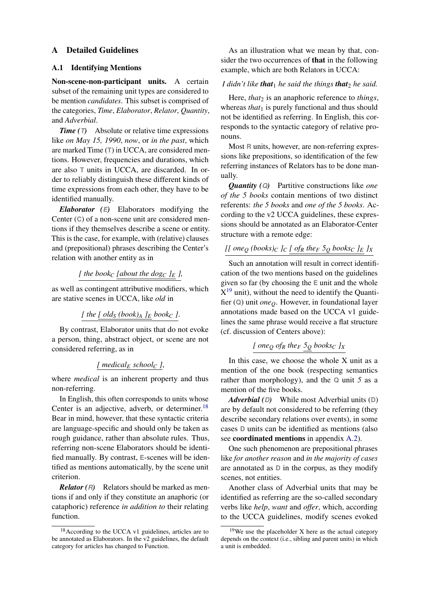### <span id="page-10-0"></span>A Detailed Guidelines

### A.1 Identifying Mentions

Non-scene-non-participant units. A certain subset of the remaining unit types are considered to be mention *candidates*. This subset is comprised of the categories, *Time*, *Elaborator*, *Relator*, *Quantity*, and *Adverbial*.

*Time (T)* Absolute or relative time expressions like *on May 15, 1990*, *now*, or *in the past*, which are marked Time (**T**) in UCCA, are considered mentions. However, frequencies and durations, which are also **T** units in UCCA, are discarded. In order to reliably distinguish these different kinds of time expressions from each other, they have to be identified manually.

*Elaborator (E)* Elaborators modifying the Center (**C**) of a non-scene unit are considered mentions if they themselves describe a scene or entity. This is the case, for example, with (relative) clauses and (prepositional) phrases describing the Center's relation with another entity as in

[ the book<sub>C</sub> [about the dog<sub>C</sub> 
$$
]_E
$$
],

as well as contingent attributive modifiers, which are stative scenes in UCCA, like *old* in

[ the 
$$
[old_S (book)_A]_E
$$
 book<sub>C</sub>].

By contrast, Elaborator units that do not evoke a person, thing, abstract object, or scene are not considered referring, as in

## *[ medical<sup>E</sup> school<sup>C</sup> ]*,

where *medical* is an inherent property and thus non-referring.

In English, this often corresponds to units whose Center is an adjective, adverb, or determiner.<sup>[18](#page-0-1)</sup> Bear in mind, however, that these syntactic criteria are language-specific and should only be taken as rough guidance, rather than absolute rules. Thus, referring non-scene Elaborators should be identified manually. By contrast, **E**-scenes will be identified as mentions automatically, by the scene unit criterion.

*Relator (R)* Relators should be marked as mentions if and only if they constitute an anaphoric (or cataphoric) reference *in addition to* their relating function.

As an illustration what we mean by that, consider the two occurrences of that in the following example, which are both Relators in UCCA:

#### *I* didn't like **that**<sub>1</sub> he said the things **that**<sub>2</sub> he said.

Here, *that*<sub>2</sub> is an anaphoric reference to *things*, whereas *that*<sub>1</sub> is purely functional and thus should not be identified as referring. In English, this corresponds to the syntactic category of relative pronouns.

Most **R** units, however, are non-referring expressions like prepositions, so identification of the few referring instances of Relators has to be done manually.

*Quantity (Q)* Partitive constructions like *one of the 5 books* contain mentions of two distinct referents: *the 5 books* and *one of the 5 books*. According to the v2 UCCA guidelines, these expressions should be annotated as an Elaborator-Center structure with a remote edge:

## *[[ one<sup>Q</sup> (books)<sup>C</sup> ]<sup>C</sup> [ of<sup>R</sup> the<sup>F</sup> 5<sup>Q</sup> books<sup>C</sup> ]<sup>E</sup> ]<sup>X</sup>*

Such an annotation will result in correct identification of the two mentions based on the guidelines given so far (by choosing the **E** unit and the whole  $X^{19}$  $X^{19}$  $X^{19}$  unit), without the need to identify the Quantifier (**Q**) unit *oneQ*. However, in foundational layer annotations made based on the UCCA v1 guidelines the same phrase would receive a flat structure (cf. discussion of Centers above):

### $[$  *one* $Q$  *of* $R$  *the* $F$   $5Q$  *books* $C$   $JX$

In this case, we choose the whole X unit as a mention of the one book (respecting semantics rather than morphology), and the **Q** unit *5* as a mention of the five books.

*Adverbial (D)* While most Adverbial units (**D**) are by default not considered to be referring (they describe secondary relations over events), in some cases **D** units can be identified as mentions (also see coordinated mentions in appendix [A.2\)](#page-11-0).

One such phenomenon are prepositional phrases like *for another reason* and *in the majority of cases* are annotated as **D** in the corpus, as they modify scenes, not entities.

Another class of Adverbial units that may be identified as referring are the so-called secondary verbs like *help*, *want* and *offer*, which, according to the UCCA guidelines, modify scenes evoked

<sup>18</sup>According to the UCCA v1 guidelines, articles are to be annotated as Elaborators. In the v2 guidelines, the default category for articles has changed to Function.

 $19$ We use the placeholder X here as the actual category depends on the context (i.e., sibling and parent units) in which a unit is embedded.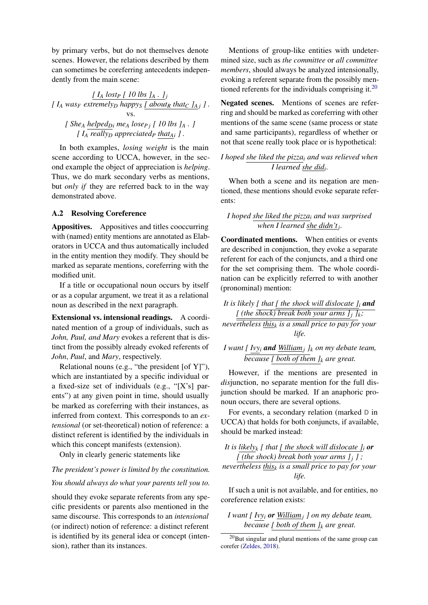by primary verbs, but do not themselves denote scenes. However, the relations described by them can sometimes be coreferring antecedents independently from the main scene:

*[ I<sup>A</sup> lost<sup>P</sup> [ 10 lbs ]<sup>A</sup> . ]<sup>j</sup> [*  $I_A$  *was<sub>F</sub> extremely<sub>D</sub></sub> <i>happy<sub>S</sub> [ about<sub>R</sub> that<sub>C</sub>*  $I_A$ *j ]*. vs. *[ She<sup>A</sup> helpedDi me<sup>A</sup> loseP j [ 10 lbs ]<sup>A</sup> . ] [ I<sup>A</sup> really<sup>D</sup> appreciated<sup>P</sup> thatAi ] .*

In both examples, *losing weight* is the main scene according to UCCA, however, in the second example the object of appreciation is *helping*. Thus, we do mark secondary verbs as mentions, but *only if* they are referred back to in the way demonstrated above.

### <span id="page-11-0"></span>A.2 Resolving Coreference

Appositives. Appositives and titles cooccurring with (named) entity mentions are annotated as Elaborators in UCCA and thus automatically included in the entity mention they modify. They should be marked as separate mentions, coreferring with the modified unit.

If a title or occupational noun occurs by itself or as a copular argument, we treat it as a relational noun as described in the next paragraph.

Extensional vs. intensional readings. A coordinated mention of a group of individuals, such as *John, Paul, and Mary* evokes a referent that is distinct from the possibly already evoked referents of *John*, *Paul*, and *Mary*, respectively.

Relational nouns (e.g., "the president [of Y]"), which are instantiated by a specific individual or a fixed-size set of individuals (e.g., "[X's] parents") at any given point in time, should usually be marked as coreferring with their instances, as inferred from context. This corresponds to an *extensional* (or set-theoretical) notion of reference: a distinct referent is identified by the individuals in which this concept manifests (extension).

Only in clearly generic statements like

# *The president's power is limited by the constitution. You should always do what your parents tell you to.*

should they evoke separate referents from any specific presidents or parents also mentioned in the same discourse. This corresponds to an *intensional* (or indirect) notion of reference: a distinct referent is identified by its general idea or concept (intension), rather than its instances.

Mentions of group-like entities with undetermined size, such as *the committee* or *all committee members*, should always be analyzed intensionally, evoking a referent separate from the possibly men-tioned referents for the individuals comprising it.<sup>[20](#page-0-1)</sup>

Negated scenes. Mentions of scenes are referring and should be marked as coreferring with other mentions of the same scene (same process or state and same participants), regardless of whether or not that scene really took place or is hypothetical:

## *I hoped she liked the pizza<sup>i</sup> and was relieved when I learned she did<sup>i</sup> .*

When both a scene and its negation are mentioned, these mentions should evoke separate referents:

*I hoped she liked the pizza<sup>i</sup> and was surprised when I learned she didn't<sup>j</sup> .*

Coordinated mentions. When entities or events are described in conjunction, they evoke a separate referent for each of the conjuncts, and a third one for the set comprising them. The whole coordination can be explicitly referred to with another (pronominal) mention:

*It is likely [ that [ the shock will dislocate ]<sup>i</sup> and [* (the shock) break both your arms  $j_i$   $j_k$ ;

*nevertheless this<sup>k</sup> is a small price to pay for your life.*

*I* want [  $Ivy_i$  **and**  $\frac{William_j}{k}$  *J<sub>k</sub> on my debate team, because [ both of them ]<sup>k</sup> are great.*

However, if the mentions are presented in *dis*junction, no separate mention for the full disjunction should be marked. If an anaphoric pronoun occurs, there are several options.

For events, a secondary relation (marked **D** in UCCA) that holds for both conjuncts, if available, should be marked instead:

*It is likely<sub>k</sub> [ that [ the shock will dislocate*  $J_i$  *or [* (the shock) break both your arms  $j_j$  *]*; *nevertheless this<sup>k</sup> is a small price to pay for your life.*

If such a unit is not available, and for entities, no coreference relation exists:

*I want [ Ivy<sup>i</sup> or William<sup>j</sup> ] on my debate team, because [ both of them ]<sup>k</sup> are great.*

 $^{20}$ But singular and plural mentions of the same group can corefer [\(Zeldes,](#page-9-20) [2018\)](#page-9-20).